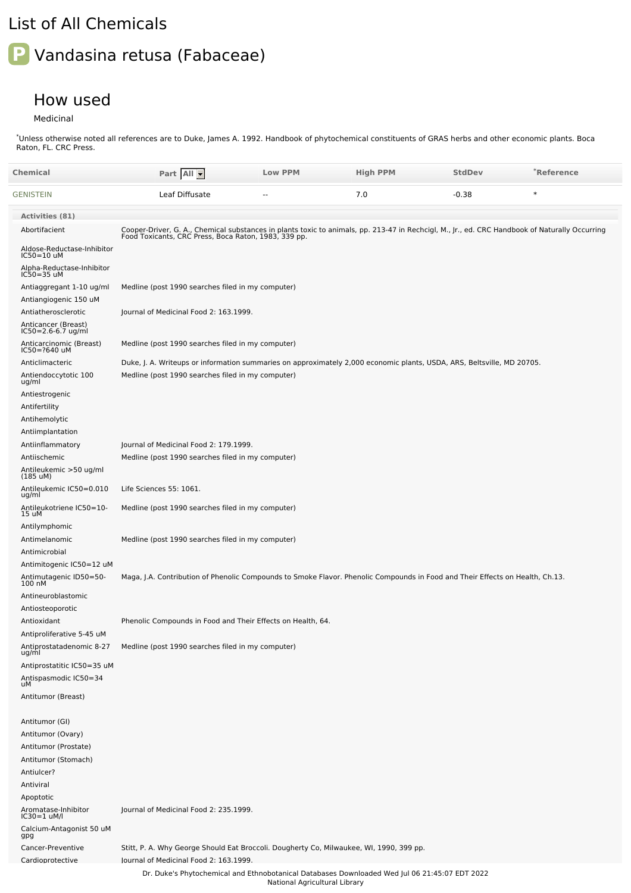## List of All Chemicals

## **P** Vandasina retusa (Fabaceae)

## How used

Medicinal

Unless otherwise noted all references are to Duke, James A. 1992. Handbook of phytochemical constituents of GRAS herbs and other economic plants. Boca Raton, FL. CRC Press. \*

| Chemical                                          | Part All                                                                                                                                                                                               | <b>Low PPM</b>                | <b>High PPM</b> | <b>StdDev</b> | *Reference |
|---------------------------------------------------|--------------------------------------------------------------------------------------------------------------------------------------------------------------------------------------------------------|-------------------------------|-----------------|---------------|------------|
| GENISTEIN                                         | Leaf Diffusate                                                                                                                                                                                         |                               | 7.0             | $-0.38$       | $\ast$     |
| <b>Activities (81)</b>                            |                                                                                                                                                                                                        |                               |                 |               |            |
| Abortifacient                                     | Cooper-Driver, G. A., Chemical substances in plants toxic to animals, pp. 213-47 in Rechcigl, M., Jr., ed. CRC Handbook of Naturally Occurring<br>Food Toxicants, CRC Press, Boca Raton, 1983, 339 pp. |                               |                 |               |            |
| Aldose-Reductase-Inhibitor<br>IC50=10 uM          |                                                                                                                                                                                                        |                               |                 |               |            |
| Alpha-Reductase-Inhibitor<br>IC50=35 uM           |                                                                                                                                                                                                        |                               |                 |               |            |
| Antiaggregant 1-10 ug/ml<br>Antiangiogenic 150 uM | Medline (post 1990 searches filed in my computer)                                                                                                                                                      |                               |                 |               |            |
| Antiatherosclerotic                               | Journal of Medicinal Food 2: 163.1999.                                                                                                                                                                 |                               |                 |               |            |
| Anticancer (Breast)<br>IC50=2.6-6.7 ug/ml         |                                                                                                                                                                                                        |                               |                 |               |            |
| Anticarcinomic (Breast)<br>IC50=?640 uM           | Medline (post 1990 searches filed in my computer)                                                                                                                                                      |                               |                 |               |            |
| Anticlimacteric                                   | Duke, J. A. Writeups or information summaries on approximately 2,000 economic plants, USDA, ARS, Beltsville, MD 20705.                                                                                 |                               |                 |               |            |
| Antiendoccytotic 100<br>ug/ml                     | Medline (post 1990 searches filed in my computer)                                                                                                                                                      |                               |                 |               |            |
| Antiestrogenic                                    |                                                                                                                                                                                                        |                               |                 |               |            |
| Antifertility<br>Antihemolytic                    |                                                                                                                                                                                                        |                               |                 |               |            |
| Antiimplantation                                  |                                                                                                                                                                                                        |                               |                 |               |            |
| Antiinflammatory                                  | Journal of Medicinal Food 2: 179.1999.                                                                                                                                                                 |                               |                 |               |            |
| Antiischemic                                      | Medline (post 1990 searches filed in my computer)                                                                                                                                                      |                               |                 |               |            |
| Antileukemic >50 ug/ml<br>$(185 \text{ uM})$      |                                                                                                                                                                                                        |                               |                 |               |            |
| Antileukemic IC50=0.010<br>ug/ml                  | Life Sciences 55: 1061.                                                                                                                                                                                |                               |                 |               |            |
| Antileukotriene IC50=10-<br>15 uM                 | Medline (post 1990 searches filed in my computer)                                                                                                                                                      |                               |                 |               |            |
| Antilymphomic                                     |                                                                                                                                                                                                        |                               |                 |               |            |
| Antimelanomic<br>Antimicrobial                    | Medline (post 1990 searches filed in my computer)                                                                                                                                                      |                               |                 |               |            |
| Antimitogenic IC50=12 uM                          |                                                                                                                                                                                                        |                               |                 |               |            |
| Antimutagenic ID50=50-<br>100 nM                  | Maga, J.A. Contribution of Phenolic Compounds to Smoke Flavor. Phenolic Compounds in Food and Their Effects on Health, Ch.13.                                                                          |                               |                 |               |            |
| Antineuroblastomic                                |                                                                                                                                                                                                        |                               |                 |               |            |
| Antiosteoporotic                                  |                                                                                                                                                                                                        |                               |                 |               |            |
| Antioxidant<br>Antiproliferative 5-45 uM          | Phenolic Compounds in Food and Their Effects on Health, 64.                                                                                                                                            |                               |                 |               |            |
| Antiprostatadenomic 8-27<br>ug/ml                 | Medline (post 1990 searches filed in my computer)                                                                                                                                                      |                               |                 |               |            |
| Antiprostatitic IC50=35 uM                        |                                                                                                                                                                                                        |                               |                 |               |            |
| Antispasmodic IC50=34<br>uM                       |                                                                                                                                                                                                        |                               |                 |               |            |
| Antitumor (Breast)                                |                                                                                                                                                                                                        |                               |                 |               |            |
| Antitumor (GI)                                    |                                                                                                                                                                                                        |                               |                 |               |            |
| Antitumor (Ovary)                                 |                                                                                                                                                                                                        |                               |                 |               |            |
| Antitumor (Prostate)                              |                                                                                                                                                                                                        |                               |                 |               |            |
| Antitumor (Stomach)                               |                                                                                                                                                                                                        |                               |                 |               |            |
| Antiulcer?                                        |                                                                                                                                                                                                        |                               |                 |               |            |
| Antiviral                                         |                                                                                                                                                                                                        |                               |                 |               |            |
| Apoptotic<br>Aromatase-Inhibitor<br>IC30=1 uM/l   | Journal of Medicinal Food 2: 235.1999.                                                                                                                                                                 |                               |                 |               |            |
| Calcium-Antagonist 50 uM<br>gpg                   |                                                                                                                                                                                                        |                               |                 |               |            |
| Cancer-Preventive                                 | Stitt, P. A. Why George Should Eat Broccoli. Dougherty Co, Milwaukee, WI, 1990, 399 pp.                                                                                                                |                               |                 |               |            |
| Cardioprotective                                  | lournal of Medicinal Food 2: 163.1999.                                                                                                                                                                 |                               |                 |               |            |
|                                                   | Dr. Duke's Phytochemical and Ethnobotanical Databases Downloaded Wed Jul 06 21:45:07 EDT 2022                                                                                                          | National Agricultural Library |                 |               |            |